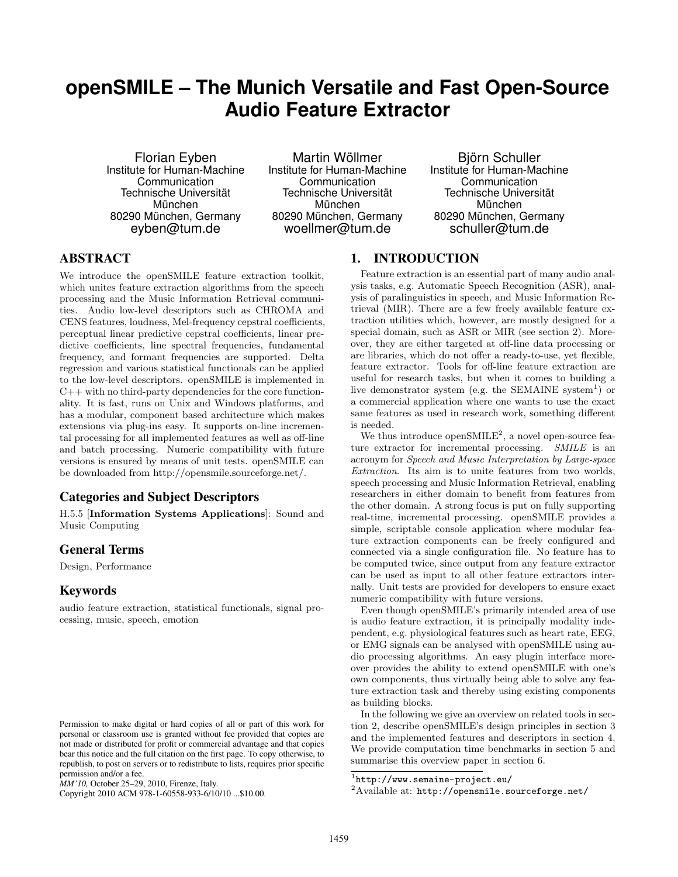# **openSMILE – The Munich Versatile and Fast Open-Source Audio Feature Extractor**

Florian Eyben Institute for Human-Machine **Communication** Technische Universität München 80290 München, Germany eyben@tum.de

Martin Wöllmer Institute for Human-Machine **Communication** Technische Universität München 80290 München, Germany woellmer@tum.de

Björn Schuller Institute for Human-Machine **Communication** Technische Universität München 80290 München, Germany schuller@tum.de

# ABSTRACT

We introduce the openSMILE feature extraction toolkit, which unites feature extraction algorithms from the speech processing and the Music Information Retrieval communities. Audio low-level descriptors such as CHROMA and CENS features, loudness, Mel-frequency cepstral coefficients, perceptual linear predictive cepstral coefficients, linear predictive coefficients, line spectral frequencies, fundamental frequency, and formant frequencies are supported. Delta regression and various statistical functionals can be applied to the low-level descriptors. openSMILE is implemented in  $C_{++}$  with no third-party dependencies for the core functionality. It is fast, runs on Unix and Windows platforms, and has a modular, component based architecture which makes extensions via plug-ins easy. It supports on-line incremental processing for all implemented features as well as off-line and batch processing. Numeric compatibility with future versions is ensured by means of unit tests. openSMILE can be downloaded from http://opensmile.sourceforge.net/.

## Categories and Subject Descriptors

H.5.5 [**Information Systems Applications**]: Sound and Music Computing

#### General Terms

Design, Performance

## Keywords

audio feature extraction, statistical functionals, signal processing, music, speech, emotion

Copyright 2010 ACM 978-1-60558-933-6/10/10 ...\$10.00.

## 1. INTRODUCTION

Feature extraction is an essential part of many audio analysis tasks, e.g. Automatic Speech Recognition (ASR), analysis of paralinguistics in speech, and Music Information Retrieval (MIR). There are a few freely available feature extraction utilities which, however, are mostly designed for a special domain, such as ASR or MIR (see section 2). Moreover, they are either targeted at off-line data processing or are libraries, which do not offer a ready-to-use, yet flexible, feature extractor. Tools for off-line feature extraction are useful for research tasks, but when it comes to building a live demonstrator system (e.g. the SEMAINE system<sup>1</sup>) or a commercial application where one wants to use the exact same features as used in research work, something different is needed.

We thus introduce open $SMILE^2$ , a novel open-source feature extractor for incremental processing. SMILE is an acronym for Speech and Music Interpretation by Large-space Extraction. Its aim is to unite features from two worlds, speech processing and Music Information Retrieval, enabling researchers in either domain to benefit from features from the other domain. A strong focus is put on fully supporting real-time, incremental processing. openSMILE provides a simple, scriptable console application where modular feature extraction components can be freely configured and connected via a single configuration file. No feature has to be computed twice, since output from any feature extractor can be used as input to all other feature extractors internally. Unit tests are provided for developers to ensure exact numeric compatibility with future versions.

Even though openSMILE's primarily intended area of use is audio feature extraction, it is principally modality independent, e.g. physiological features such as heart rate, EEG, or EMG signals can be analysed with openSMILE using audio processing algorithms. An easy plugin interface moreover provides the ability to extend openSMILE with one's own components, thus virtually being able to solve any feature extraction task and thereby using existing components as building blocks.

In the following we give an overview on related tools in section 2, describe openSMILE's design principles in section 3 and the implemented features and descriptors in section 4. We provide computation time benchmarks in section 5 and summarise this overview paper in section 6.

Permission to make digital or hard copies of all or part of this work for personal or classroom use is granted without fee provided that copies are not made or distributed for profit or commercial advantage and that copies bear this notice and the full citation on the first page. To copy otherwise, to republish, to post on servers or to redistribute to lists, requires prior specific permission and/or a fee.

*MM'10,* October 25–29, 2010, Firenze, Italy.

<sup>1</sup>http://www.semaine-project.eu/

<sup>2</sup>Available at: http://opensmile.sourceforge.net/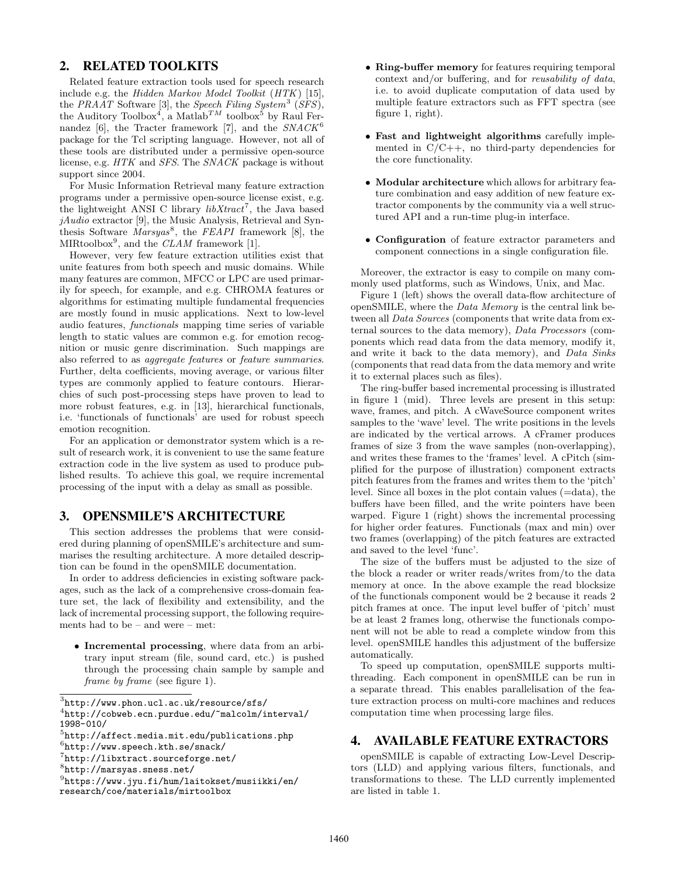## 2. RELATED TOOLKITS

Related feature extraction tools used for speech research include e.g. the Hidden Markov Model Toolkit (HTK) [15], the PRAAT Software [3], the Speech Filing System<sup>3</sup> (SFS), the Auditory Toolbox<sup>4</sup>, a Matlab<sup>TM</sup> toolbox<sup>5</sup> by Raul Fernandez [6], the Tracter framework [7], and the  $S NACK^6$ package for the Tcl scripting language. However, not all of these tools are distributed under a permissive open-source license, e.g. HTK and SFS. The SNACK package is without support since 2004.

For Music Information Retrieval many feature extraction programs under a permissive open-source license exist, e.g. the lightweight ANSI C library  $libXtract^7$ , the Java based jAudio extractor [9], the Music Analysis, Retrieval and Synthesis Software  $Marsyas^8$ , the FEAPI framework [8], the MIRtoolbox<sup>9</sup>, and the *CLAM* framework [1].

However, very few feature extraction utilities exist that unite features from both speech and music domains. While many features are common, MFCC or LPC are used primarily for speech, for example, and e.g. CHROMA features or algorithms for estimating multiple fundamental frequencies are mostly found in music applications. Next to low-level audio features, functionals mapping time series of variable length to static values are common e.g. for emotion recognition or music genre discrimination. Such mappings are also referred to as aggregate features or feature summaries. Further, delta coefficients, moving average, or various filter types are commonly applied to feature contours. Hierarchies of such post-processing steps have proven to lead to more robust features, e.g. in [13], hierarchical functionals, i.e. 'functionals of functionals' are used for robust speech emotion recognition.

For an application or demonstrator system which is a result of research work, it is convenient to use the same feature extraction code in the live system as used to produce published results. To achieve this goal, we require incremental processing of the input with a delay as small as possible.

#### 3. OPENSMILE'S ARCHITECTURE

This section addresses the problems that were considered during planning of openSMILE's architecture and summarises the resulting architecture. A more detailed description can be found in the openSMILE documentation.

In order to address deficiencies in existing software packages, such as the lack of a comprehensive cross-domain feature set, the lack of flexibility and extensibility, and the lack of incremental processing support, the following requirements had to be – and were – met:

• **Incremental processing**, where data from an arbitrary input stream (file, sound card, etc.) is pushed through the processing chain sample by sample and frame by frame (see figure 1).

- **Ring-buffer memory** for features requiring temporal context and/or buffering, and for reusability of data, i.e. to avoid duplicate computation of data used by multiple feature extractors such as FFT spectra (see figure 1, right).
- **Fast and lightweight algorithms** carefully implemented in  $C/C++$ , no third-party dependencies for the core functionality.
- **Modular architecture** which allows for arbitrary feature combination and easy addition of new feature extractor components by the community via a well structured API and a run-time plug-in interface.
- **Configuration** of feature extractor parameters and component connections in a single configuration file.

Moreover, the extractor is easy to compile on many commonly used platforms, such as Windows, Unix, and Mac.

Figure 1 (left) shows the overall data-flow architecture of openSMILE, where the Data Memory is the central link between all *Data Sources* (components that write data from external sources to the data memory), Data Processors (components which read data from the data memory, modify it, and write it back to the data memory), and Data Sinks (components that read data from the data memory and write it to external places such as files).

The ring-buffer based incremental processing is illustrated in figure 1 (mid). Three levels are present in this setup: wave, frames, and pitch. A cWaveSource component writes samples to the 'wave' level. The write positions in the levels are indicated by the vertical arrows. A cFramer produces frames of size 3 from the wave samples (non-overlapping), and writes these frames to the 'frames' level. A cPitch (simplified for the purpose of illustration) component extracts pitch features from the frames and writes them to the 'pitch' level. Since all boxes in the plot contain values (=data), the buffers have been filled, and the write pointers have been warped. Figure 1 (right) shows the incremental processing for higher order features. Functionals (max and min) over two frames (overlapping) of the pitch features are extracted and saved to the level 'func'.

The size of the buffers must be adjusted to the size of the block a reader or writer reads/writes from/to the data memory at once. In the above example the read blocksize of the functionals component would be 2 because it reads 2 pitch frames at once. The input level buffer of 'pitch' must be at least 2 frames long, otherwise the functionals component will not be able to read a complete window from this level. openSMILE handles this adjustment of the buffersize automatically.

To speed up computation, openSMILE supports multithreading. Each component in openSMILE can be run in a separate thread. This enables parallelisation of the feature extraction process on multi-core machines and reduces computation time when processing large files.

## 4. AVAILABLE FEATURE EXTRACTORS

openSMILE is capable of extracting Low-Level Descriptors (LLD) and applying various filters, functionals, and transformations to these. The LLD currently implemented are listed in table 1.

 $^3$ http://www.phon.ucl.ac.uk/resource/sfs/  $^4$ http://cobweb.ecn.purdue.edu/~malcolm/interval/ 1998-010/

 $5$ http://affect.media.mit.edu/publications.php

 $^6$ http://www.speech.kth.se/snack/

 $7$ http://libxtract.sourceforge.net/

 ${}^{8}$ http://marsyas.sness.net/

 $^{9}$ https://www.jyu.fi/hum/laitokset/musiikki/en/

research/coe/materials/mirtoolbox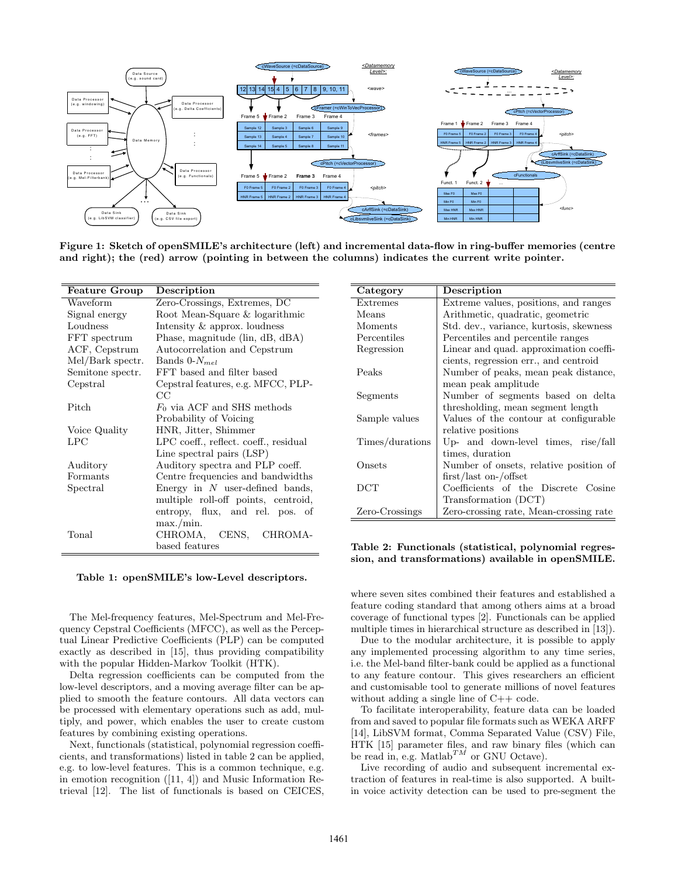

**Figure 1: Sketch of openSMILE's architecture (left) and incremental data-flow in ring-buffer memories (centre and right); the (red) arrow (pointing in between the columns) indicates the current write pointer.**

| <b>Feature Group</b> | Description                           |
|----------------------|---------------------------------------|
| Waveform             | Zero-Crossings, Extremes, DC          |
| Signal energy        | Root Mean-Square & logarithmic        |
| Loudness             | Intensity & approx. loudness          |
| FFT spectrum         | Phase, magnitude (lin, dB, dBA)       |
| ACF, Cepstrum        | Autocorrelation and Cepstrum          |
| Mel/Bark spectr.     | Bands $0-N_{mel}$                     |
| Semitone spectr.     | FFT based and filter based            |
| Cepstral             | Cepstral features, e.g. MFCC, PLP-    |
|                      | CC                                    |
| Pitch                | $F_0$ via ACF and SHS methods         |
|                      | Probability of Voicing                |
| Voice Quality        | HNR, Jitter, Shimmer                  |
| LPC                  | LPC coeff., reflect. coeff., residual |
|                      | Line spectral pairs (LSP)             |
| Auditory             | Auditory spectra and PLP coeff.       |
| Formants             | Centre frequencies and bandwidths     |
| Spectral             | Energy in $N$ user-defined bands,     |
|                      | multiple roll-off points, centroid,   |
|                      | entropy, flux, and rel. pos. of       |
|                      | $\max./\min$ .                        |
| Tonal                | CHROMA, CENS,<br>CHROMA-              |
|                      | based features                        |

**Table 1: openSMILE's low-Level descriptors.**

The Mel-frequency features, Mel-Spectrum and Mel-Frequency Cepstral Coefficients (MFCC), as well as the Perceptual Linear Predictive Coefficients (PLP) can be computed exactly as described in [15], thus providing compatibility with the popular Hidden-Markov Toolkit (HTK).

Delta regression coefficients can be computed from the low-level descriptors, and a moving average filter can be applied to smooth the feature contours. All data vectors can be processed with elementary operations such as add, multiply, and power, which enables the user to create custom features by combining existing operations.

Next, functionals (statistical, polynomial regression coefficients, and transformations) listed in table 2 can be applied, e.g. to low-level features. This is a common technique, e.g. in emotion recognition ([11, 4]) and Music Information Retrieval [12]. The list of functionals is based on CEICES,

| Category        | Description                             |
|-----------------|-----------------------------------------|
| Extremes        | Extreme values, positions, and ranges   |
| Means           | Arithmetic, quadratic, geometric        |
| Moments         | Std. dev., variance, kurtosis, skewness |
| Percentiles     | Percentiles and percentile ranges       |
| Regression      | Linear and quad. approximation coeffi-  |
|                 | cients, regression err., and centroid   |
| Peaks           | Number of peaks, mean peak distance,    |
|                 | mean peak amplitude                     |
| Segments        | Number of segments based on delta       |
|                 | thresholding, mean segment length       |
| Sample values   | Values of the contour at configurable   |
|                 | relative positions                      |
| Times/durations | Up- and down-level times, rise/fall     |
|                 | times, duration                         |
| Onsets          | Number of onsets, relative position of  |
|                 | $first/last on-/offset$                 |
| DCT             | Coefficients of the Discrete Cosine     |
|                 | Transformation (DCT)                    |
| Zero-Crossings  | Zero-crossing rate, Mean-crossing rate  |

#### **Table 2: Functionals (statistical, polynomial regression, and transformations) available in openSMILE.**

where seven sites combined their features and established a feature coding standard that among others aims at a broad coverage of functional types [2]. Functionals can be applied multiple times in hierarchical structure as described in [13]).

Due to the modular architecture, it is possible to apply any implemented processing algorithm to any time series, i.e. the Mel-band filter-bank could be applied as a functional to any feature contour. This gives researchers an efficient and customisable tool to generate millions of novel features without adding a single line of  $C++$  code.

To facilitate interoperability, feature data can be loaded from and saved to popular file formats such as WEKA ARFF [14], LibSVM format, Comma Separated Value (CSV) File, HTK [15] parameter files, and raw binary files (which can be read in, e.g. Matlab<sup>TM</sup> or GNU Octave).

Live recording of audio and subsequent incremental extraction of features in real-time is also supported. A builtin voice activity detection can be used to pre-segment the